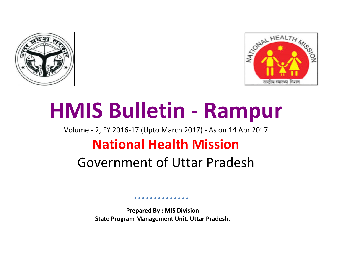



# **HMIS Bulletin - Rampur**

Volume - 2, FY 2016-17 (Upto March 2017) - As on 14 Apr 2017 **National Health Mission**

## Government of Uttar Pradesh

**Prepared By : MIS Division State Program Management Unit, Uttar Pradesh.**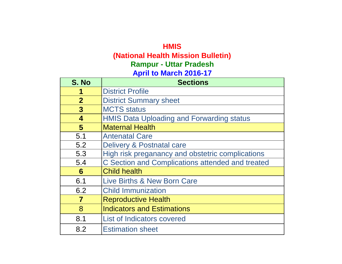## **HMIS (National Health Mission Bulletin) April to March 2016-17 Rampur - Uttar Pradesh**

| S. No                   | <b>Sections</b>                                  |
|-------------------------|--------------------------------------------------|
|                         | <b>District Profile</b>                          |
| $\overline{2}$          | <b>District Summary sheet</b>                    |
| $\overline{3}$          | <b>MCTS</b> status                               |
| $\overline{\mathbf{4}}$ | <b>HMIS Data Uploading and Forwarding status</b> |
| 5                       | <b>Maternal Health</b>                           |
| 5.1                     | <b>Antenatal Care</b>                            |
| 5.2                     | Delivery & Postnatal care                        |
| 5.3                     | High risk preganancy and obstetric complications |
| 5.4                     | C Section and Complications attended and treated |
| 6                       | <b>Child health</b>                              |
| 6.1                     | <b>Live Births &amp; New Born Care</b>           |
| 6.2                     | <b>Child Immunization</b>                        |
| $\overline{\mathbf{7}}$ | <b>Reproductive Health</b>                       |
| 8                       | <b>Indicators and Estimations</b>                |
| 8.1                     | <b>List of Indicators covered</b>                |
| 8.2                     | <b>Estimation sheet</b>                          |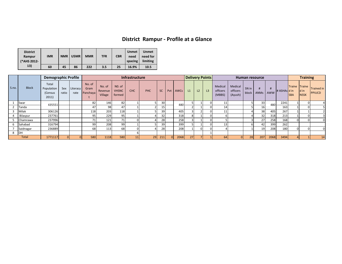## **District Rampur - Profile at a Glance**

| <b>District</b><br>Rampur<br>(*AHS 2012- | <b>IMR</b> | <b>NMR</b> | U5MR | <b>MMR</b> | <b>TFR</b> | <b>CBR</b> | <b>Unmet</b><br>need<br>spacing | <b>Unmet</b><br>need for<br>limiting |
|------------------------------------------|------------|------------|------|------------|------------|------------|---------------------------------|--------------------------------------|
| 13)                                      | 60         | 45         | 86   | 222        | 3.5        | 25         | 16.9%                           | 10.5                                 |

|       |              | <b>Demographic Profile</b>              |              |                  | Infrastructure             |                              |                                  |            |     |           | <b>Delivery Points</b> |                 |    | Human resource |                |                               |                                |                | <b>Training</b> |      |                   |                             |                     |                                    |
|-------|--------------|-----------------------------------------|--------------|------------------|----------------------------|------------------------------|----------------------------------|------------|-----|-----------|------------------------|-----------------|----|----------------|----------------|-------------------------------|--------------------------------|----------------|-----------------|------|-------------------|-----------------------------|---------------------|------------------------------------|
| S.no. | <b>Block</b> | Total<br>Population<br>(Census<br>2011) | Sex<br>ratio | Literacy<br>rate | No. of<br>Gram<br>Panchaya | No. of<br>Revenue<br>Village | NO. of<br><b>VHSNC</b><br>formed | <b>CHC</b> | PHC | <b>SC</b> | Pvt I                  | <b>AWCs</b>     | L1 | L <sub>2</sub> | L <sub>3</sub> | Medical<br>officers<br>(MBBS) | Medical<br>officers<br>(Ayush) | SN in<br>block | ANMs AWW        |      | $\#$ ASHAs $d$ in | Traine Traine<br><b>SBA</b> | d in<br><b>NSSK</b> | <b>Trained in</b><br><b>PPIUCD</b> |
|       | Swar         | 435551                                  |              |                  | 82                         | 146                          | 82                               |            |     | 30        |                        | 48 <sub>C</sub> |    |                |                |                               |                                |                | 33              | 480  | 2241              |                             |                     |                                    |
|       | Tanda        |                                         |              |                  | 47                         | 98                           | 47                               |            |     | 15        |                        |                 |    |                |                |                               |                                |                | 16              |      | 163               |                             |                     |                                    |
|       | Milak        | 306126                                  |              |                  | 118                        | 203                          | 118                              |            |     | 39        |                        | 405             |    |                | ΩL             |                               |                                |                | 38              | 405  | 267               |                             |                     |                                    |
|       | Bilaspur     | 237761                                  |              |                  | 95                         | 229                          | 95                               |            |     | 32        |                        | 318             |    |                |                |                               |                                |                | 32              | 318  | 213               |                             |                     |                                    |
|       | Chamrawa     | 237996                                  |              |                  | 71                         | 121                          | 71                               |            |     | 28        |                        | 258             |    |                |                |                               |                                |                | 27              | 258  | 168               | $\Omega$                    |                     |                                    |
|       | Sahabad      | 316794                                  |              |                  | 99                         | 208                          | 99                               |            |     | 39        |                        | 399             |    |                |                |                               |                                |                | 42              | 399  | 262               |                             |                     |                                    |
|       | Saidnagar    | 236889                                  |              |                  | 68                         | 113                          | 68                               |            |     | 28        |                        | 208             |    |                |                |                               |                                |                | 19              | 208  | 180               |                             |                     |                                    |
| 8     | DH           |                                         |              |                  |                            |                              |                                  |            |     |           |                        |                 |    |                |                |                               |                                |                |                 |      |                   |                             |                     |                                    |
|       | Total        | 1771117                                 |              |                  | 580                        | 1118                         | 580                              | 11         | 29  | 211       |                        | 2068            |    |                |                | <b>64</b>                     |                                | 28             | 207             | 2068 | 3494              |                             |                     | 14                                 |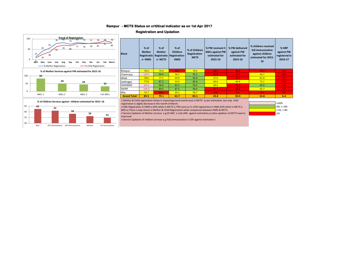#### **- MCTS Status on crititical indicator as on 1st Apr 2017 Rampur**

#### **Registration and Updation**



| <b>Block</b>       | $%$ of<br><b>Mother</b><br>Registratio<br>n-HMIS | $%$ of<br><b>Mother</b><br>Registratio<br>n-MCTS | $%$ of<br><b>Children</b><br><b>Registration-</b><br><b>HMIS</b> | % of Children<br>Registration-<br><b>MCTS</b> | % PW received 3<br><b>ANCs against PW</b><br>estimated for<br>2015-16 | % PW delivered<br>against PW<br>estimated for<br>2015-16 | % children received<br>full immunization<br>against children<br>estimated for 2015-<br>16 | % HRP<br>against PW<br>registered in<br>2016-17 |
|--------------------|--------------------------------------------------|--------------------------------------------------|------------------------------------------------------------------|-----------------------------------------------|-----------------------------------------------------------------------|----------------------------------------------------------|-------------------------------------------------------------------------------------------|-------------------------------------------------|
| Bilaspur           | 70.3                                             | 75.0                                             | 44.7                                                             | 79.4                                          | 49.5                                                                  | 36.9                                                     | 47.3                                                                                      | 6.4                                             |
| Chamraua           | 110.7                                            | 94.4                                             | 56.3                                                             | 95.2                                          | 41.6                                                                  | 14.2                                                     | 64.7                                                                                      | 8.6                                             |
| Milak              | 78.6                                             | 77.1                                             | 64.9                                                             | 82.8                                          | 57.0                                                                  | 33.1                                                     | 61.9                                                                                      | 3.3 <sub>1</sub>                                |
| Saidnagar          | 77.8                                             | 87.3                                             | 55.0                                                             | 85.6                                          | 63.0                                                                  | 69.8                                                     | 71.1                                                                                      | 8.5                                             |
| <b>SHAHBAD</b>     | 102.2                                            | 96.8                                             | 81.5                                                             | 95.0                                          | 69.6                                                                  | 41.7                                                     | 83.9                                                                                      | 9.6                                             |
| <b>SWAR</b>        | 104.3                                            | 84.0                                             | 87.5                                                             | 96.0                                          | 37.7                                                                  | 32.5                                                     | 65.7                                                                                      | 2.7                                             |
| dha                | 72.7                                             | 49.2                                             | 55.1                                                             | 50.7                                          | 4.8                                                                   | 0.1                                                      | 0.3 <sub>1</sub>                                                                          | 9.5                                             |
| <b>Grand Total</b> | 85.5                                             | 79.1                                             | 61.7                                                             | 83.1                                          | 43.8                                                                  | 30.9                                                     | 54.8                                                                                      | 6.4                                             |

**% of Children Services against children estimated for 2015 -16** 1-Mother & Child registration shows in improving trend month wise in MCTS as per estimation. but only child registration is slighly decrease in the month of March.

2-ANC Registration in HMIS is 85% while in MCTS is 79% same as in child registartion in HMIs 62% while in MCTS is 86% so There is Gap shows in Mother & Child Registration while comparison between HMIS & MCTS.

2-Service Updation of Mother services e.g 03 ANC is only 44% against estimation,so data updation of MCTS need to improved.



3-Service Updation of children services e.g fully Immunization is 55% against estimation.I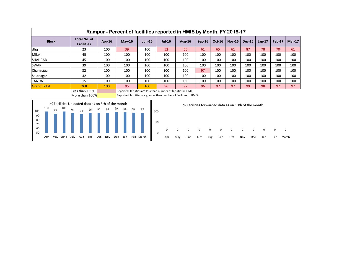|                    | ,,,,,,,,,,                               |           |                                                                |          |          |           |          |          |               |          |          |        |               |
|--------------------|------------------------------------------|-----------|----------------------------------------------------------------|----------|----------|-----------|----------|----------|---------------|----------|----------|--------|---------------|
| <b>Block</b>       | <b>Total No. of</b><br><b>Facilities</b> | Apr- $16$ | $May-16$                                                       | $Jun-16$ | $Jul-16$ | Aug- $16$ | $Sep-16$ | $Oct-16$ | <b>Nov-16</b> | $Dec-16$ | $Jan-17$ | Feb-17 | <b>Mar-17</b> |
| dhq                | 23                                       | 100       | 39                                                             | 100      | 52       | 65        | 61       | 65       | 61            | 87       | 78       | 70     | 61            |
| Milak              | 45                                       | 100       | 100                                                            | 100      | 100      | 100       | 100      | 100      | 100           | 100      | 100      | 100    | 100           |
| SHAHBAD            | 45                                       | 100       | 100                                                            | 100      | 100      | 100       | 100      | 100      | 100           | 100      | 100      | 100    | 100           |
| <b>SWAR</b>        | 39                                       | 100       | 100                                                            | 100      | 100      | 100       | 100      | 100      | 100           | 100      | 100      | 100    | 100           |
| Chamraua           | 32                                       | 100       | 100                                                            | 100      | 100      | 100       | 97       | 100      | 100           | 100      | 100      | 100    | 100           |
| Saidnagar          | 32                                       | 100       | 100                                                            | 100      | 100      | 100       | 100      | 100      | 100           | 100      | 100      | 100    | 100           |
| <b>TANDA</b>       | 15                                       | 100       | 100                                                            | 100      | 100      | 100       | 100      | 100      | 100           | 100      | 100      | 100    | 100           |
| <b>Grand Total</b> | 268                                      | 100       | 95                                                             | 100      | 96       | 97        | 96       | 97       | 97            | 99       | 98       | 97     | 97            |
|                    | Less than 100%                           |           | Reported facilities are less than number of facilities in HMIS |          |          |           |          |          |               |          |          |        |               |

#### **Rampur - Percent of facilities reported in HMIS by Month, FY 2016-17**

More than  $100\%$  Reported facilities are greater than number of facilities in HMIS

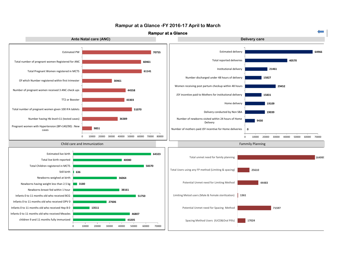

#### **Rampur at a Glance -FY 2016-17 April to March**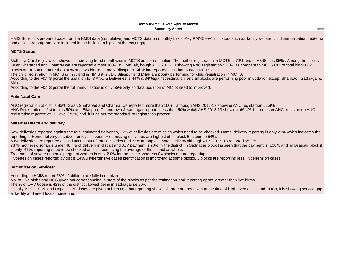#### **Rampur-FY 2016-17 April to March Summary Sheet**

HMIS Bulletin is prepared based on the HMIS data (cumulative) and MCTS data on monthly basis. Key RMNCH+A indicators such as family welfare, child immunization, maternal and child care programs are included in the bulletin to highlight the major gaps.

#### **MCTS Status:**

Mother & Child registration shows in improving trend monthwise in MCTS as per estimation.The mother registration in MCTS is 79% and in HMIS it is 85% . Among the blocks Swar, Shahabad and Chamrauwa are reported almost 100% in HMIS alt, hough AHS 2012-13 showing ANC registartion 52.8% as compare to MCTS Out of total blocks 02 blocks are reporting more than 90% and two blocks namely Bilaspur & Milak iare eported lessthan 80% in MCTS also.

The child registration in MCTS is 79% and in HMIS it is 61%.Bilaspur and Milak are poorly performing for child registration in MCTS.

According to the MCTS portal the updation for 3 ANC & Deliveries is 44% & 34%against estimation and all blocks are performing poor in updation except Shahbad , Sadnagar & Milak .

According to the MCTS portal the full immunization is only 55% only so data updation of MCTS need to improved.

#### **Ante Natal Care:**

ANC registration of dist. is 85% ,Swar, Shahabad and Chamrauwa reported more than 100% although AHS 2012-13 showing ANC registartion 52.8% ANC Registration in 1st trim. is 50% and Bilaspurr, Chamrauwa & sadnagar reported less than 50% which AHS 2012-13 showing 66.4% 1st trimester ANC registartion.ANC registration reported at SC level (75%) and it is as per the standard of registration protocal.

#### **Maternal Health and delivery:**

62% deliveries reported against the total estimated deliveries, 37% of deliveries are missing which need to be checked. Home delivery reporting is only 29% which indicates the reporting of Home delivery at subcenter level is poor. % of missing deliveries are highest of in block Bilaspur i.e 54%.

53% deliveries are reported as institutional out of total deliveries and 33% among estimates delivery.although AHS 2012 -13 reported 55.2%

73 % mothers discharge under 48 hrs of delivery in district and JSY payment is 70% in the district. In Sadnagar block t is seen that the payment is 100% and in Bilaspur block it is only 47%. reporting need to be checked as it is decreasing the average of the district as whole.

Treatment of severe anaemic pregnant women is only 2.0% for the district whereas 04 blocks are not reporting.

Hypertesion cases reported by dist is 14% .Hypertensive cases identification is improving at some blocks. 3 blocks are report ing less Hypertension cases.

#### **Immunization Services:**

According to HMIS report 66% of children are fully immunized.

No. of Live births and BCG given not corresponding in most of the blocks as per the estimation and reporting aprox. greater than live births.

The % of OPV 0dose is 42% of the district , lowest being in sadnagar i.e 20% .

Usually BCG, OPV0 and Hepatitis B0 doses are given at birth time but reporting shows all three are not given at the time of b irth even at DH and CHCs, it is showing service gap at facility and need focus monitoring.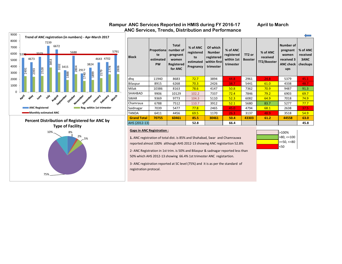

75%

#### Rampur ANC Services Reported in HMIS during FY 2016-17 **April to March ANC Services, Trends, Distribution and Performance**

| <b>Block</b>       | Propotional<br>te<br>estimated<br><b>PW</b> | <b>Total</b><br>number of<br>pregnant<br>women<br>Registered<br>for ANC | % of ANC<br>registered<br>to<br>estimated<br>Pregnancy | Of which<br><b>Number</b><br>registered<br>within first<br>trimester | % of ANC<br>registered<br>within 1st<br>trimester | TT <sub>2</sub> or<br><b>Booster</b> | % of ANC<br>received<br>TT2/Booster | Number of<br>pregnant<br>women<br>received 3<br><b>ANC check</b><br>ups | % of ANC<br>received<br>3ANC<br>checkups |
|--------------------|---------------------------------------------|-------------------------------------------------------------------------|--------------------------------------------------------|----------------------------------------------------------------------|---------------------------------------------------|--------------------------------------|-------------------------------------|-------------------------------------------------------------------------|------------------------------------------|
| dhq                | 11940                                       | 8683                                                                    | 72.7                                                   | 3894                                                                 | 44.8                                              | 2961                                 | 24.8                                | 5379                                                                    | 45.1                                     |
| Bilaspur           | 8915                                        | 6268                                                                    | 70.3                                                   | 2426                                                                 | 38.7                                              | 5441                                 | 61.0                                | 4338                                                                    | 48.7                                     |
| Milak              | 10386                                       | 8163                                                                    | 78.6                                                   | 4147                                                                 | 50.8                                              | 7362                                 | 70.9                                | 9487                                                                    | 91.3                                     |
| <b>SHAHBAD</b>     | 9906                                        | 10129                                                                   | 102.2                                                  | 7337                                                                 | 72.4                                              | 7846                                 | 79.2                                | 6903                                                                    | 69.7                                     |
| <b>SWAR</b>        | 9369                                        | 9773                                                                    | 104.3                                                  | 5110                                                                 | 52.3                                              | 6082                                 | 64.9                                | 7018                                                                    | 74.9                                     |
| Chamraua           | 6788                                        | 7512                                                                    | 110.7                                                  | 3912                                                                 | 52.1                                              | 5680                                 | 83.7                                | 5277                                                                    | 77.7                                     |
| Saidnagar          | 7039                                        | 5477                                                                    | 77.8                                                   | 2465                                                                 | 45.0                                              | 4794                                 | 68.1                                | 2638                                                                    | 37.5                                     |
| <b>TANDA</b>       | 6411                                        | 4456                                                                    | 69.5                                                   | 1170                                                                 | 26.3                                              | 3137                                 | 48.9                                | 3518                                                                    | 54.9                                     |
| <b>Grand Total</b> | 70755                                       | 60461                                                                   | 85.5                                                   | 30461                                                                | 50.4                                              | 43303                                | 61.2                                | 44558                                                                   | 63.0                                     |
| AHS (2012-13)      |                                             |                                                                         | 52.8                                                   |                                                                      | 66.4                                              |                                      |                                     |                                                                         | 45.8                                     |

#### **Gaps in ANC Registration :**

**1.** ANC registration of total dist. is 85% and Shahabad, Swar and Chamrauwa reported almost 100% although AHS 2012-13 showing ANC registartion 52.8%



2- ANC Registration in 1st trim. is 50% and Bilaspur & sadnagar reported less than 50% which AHS 2012-13 showing 66.4% 1st trimester ANC registartion.

3- ANC registration reported at SC level (75%) and it is as per the standard of registration protocal.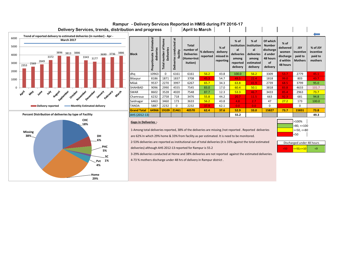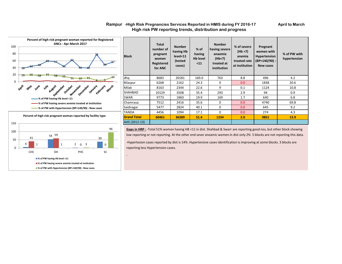#### **Rampur** -High Risk Pregnancies Services Reported in HMIS during FY 2016-17 **April to March High risk PW reporting trends, distribution and progress**





-

| <b>Block</b>       | <b>Total</b><br>number of<br>pregnant<br>women<br>Registered<br>for ANC | <b>Number</b><br>having Hb<br>level <sub>11</sub><br>(tested<br>cases) | $%$ of<br>having<br><b>Hb</b> level<br>$11$ | <b>Number</b><br>having severe<br>anaemia<br>(Hb<7)<br>treated at<br>institution | % of severe<br>(Hb < 7)<br>anemia<br>treated rate<br>at institution | Pregnant<br>women with<br><b>Hypertension</b><br>(BP>140/90):<br><b>New cases</b> | % of PW with<br>hypertension |
|--------------------|-------------------------------------------------------------------------|------------------------------------------------------------------------|---------------------------------------------|----------------------------------------------------------------------------------|---------------------------------------------------------------------|-----------------------------------------------------------------------------------|------------------------------|
| dhq                | 8683                                                                    | 20181                                                                  | 169.0                                       | 763                                                                              | 8.8                                                                 | 496                                                                               | 4.2                          |
| Bilaspur           | 6268                                                                    | 2162                                                                   | 24.3                                        | $\Omega$                                                                         | 0.0                                                                 | 1838                                                                              | 20.6                         |
| Milak              | 8163                                                                    | 2344                                                                   | 22.6                                        | 9                                                                                | 0.1                                                                 | 1124                                                                              | 10.8                         |
| <b>SHAHBAD</b>     | 10129                                                                   | 3508                                                                   | 35.4                                        | 293                                                                              | 2.9                                                                 | 94                                                                                | 0.9                          |
| <b>SWAR</b>        | 9773                                                                    | 1860                                                                   | 19.9                                        | 169                                                                              | 1.7                                                                 | 640                                                                               | 6.8                          |
| Chamraua           | 7512                                                                    | 2416                                                                   | 35.6                                        | 0                                                                                | 0.0                                                                 | 4740                                                                              | 69.8                         |
| Saidnagar          | 5477                                                                    | 2824                                                                   | 40.1                                        | 0                                                                                | 0.0                                                                 | 645                                                                               | 9.2                          |
| <b>TANDA</b>       | 4456                                                                    | 1094                                                                   | 17.1                                        | $\Omega$                                                                         | 0.0                                                                 | 274                                                                               | 4.3                          |
| <b>Grand Total</b> | 60461                                                                   | 36389                                                                  | 51.4                                        | 1234                                                                             | 2.0                                                                 | 9851                                                                              | 13.9                         |
| AHS (2012-13)      |                                                                         |                                                                        |                                             |                                                                                  |                                                                     |                                                                                   |                              |

**Gaps in HRP :** -Total 51% women having HB <11 in dist. Shahbad & Swarr are reporting good nos, but other block showing low reporting or not reporting. At the other end sever aneamic women in dist only 2% 5 blocks are not reporting this data.

-Hypertesion cases reported by dist is 14% .Hypertensive cases identification is improving at some blocks. 3 blocks are reporting less Hypertension cases.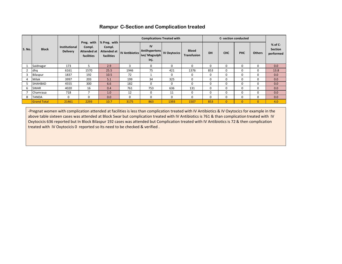|               |              |                      |            |                                               |                                                     | <b>Complications Treated with</b> |              |                             |    |            | <b>C- section conducted</b> |               |
|---------------|--------------|----------------------|------------|-----------------------------------------------|-----------------------------------------------------|-----------------------------------|--------------|-----------------------------|----|------------|-----------------------------|---------------|
|               |              | <b>Institutional</b> | Compl.     | Preg. with $\frac{1}{2}$ Preg. with<br>Compl. |                                                     | IV                                |              |                             |    |            |                             |               |
| <b>S. No.</b> | <b>Block</b> | <b>Delivery</b>      | facilities | facilities                                    | Attended at   Attended at   IV Antibiotics   Allund | Antihypertens<br>live/Magsulph    | IV Oxytocics | <b>Blood</b><br>Transfusion | DH | <b>CHC</b> | PHC                         | <b>Others</b> |

**ive/ Magsulph Inj.**

**facilities** 

**facilities** 

1 Saidnagar 173 5 2.9 3 0 0 0 0 0 0 0 0.0 2 dhq 6161 1570 25.5 1946 75 421 1376 853 0 0 0 13.8 3 |Bilaspur | 1837 | 192 | 10.5 | 72 | 1 | 0 | 0 | 0 | 0 | 0 | 0 | 0 | 0.0 4 |Milak | 3997 | 203 | 5.1 | 199 | 34 | 325 | 0 | 0 | 0 | 0 | 0 | 0 | 0.0 5 SHAHBAD | 4555 | 300 | 6.6 | 182 | 0 | 0 | 0 | 0 | 0 | 0 | 0 | 0 | 0.0 6 SWAR | 4020 | 16 | 0.4 | 761 | 753 | 636 | 131 | 0 | 0 | 0 | 0 | 0.0 7 |Chamraua | 718 | 7 | 1.0 | 12 | 0 | 11 | 0 | 0 | 0 | 0 | 0 | 0 | 0.0 8 TANDA 0 0 0.0 0 0 0 0 0 0 0 0 0.0 Grand Total | 21461 | 2293 | 10.7 | 3175 | 863 | 1393 | 1507 | 853 | 0 | 0 | 0 | 4.0

#### **Rampur C-Section and Complication treated**

**% of C-Section performed** 

-Pregnat women with complication attended at facilities is less than complication treated with IV Antibiotics & IV Oxytocics for example in the above table sixteen cases was attended at Block Swar but complication treated with IV Antibiotics is 761 & than complication treated with IV Oxytocicis 636 reported but In Block Bilaspur 192 cases was attended but Complication treated with IV Antibiotics is 72 & then complication treated with IV Oxytocicis 0 reported so Its need to be checked & verified .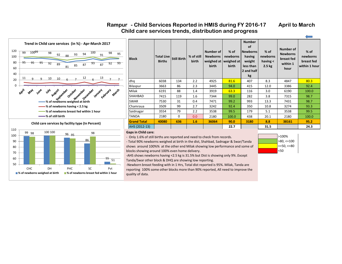#### Rampur - Child Services Reported in HMIS during FY 2016-17 April to March  **Child care services trends, distribution and progress**



#### 99 98 96 g<sub>5</sub> 98 86 55 100 51 50 60 70 80 90 100 110 CHC DH PHC SC Pvt **% of newborns weighed at birth % of newborns breast fed within 1 hour**

| <b>Block</b>       | <b>Total Live</b><br><b>Births</b> | <b>Still Birth</b> | % of still<br><b>birth</b> | Number of<br><b>Newborns</b><br>weighed at<br><b>birth</b> | $%$ of<br>newborns<br>weighed at<br>birth | <b>Number</b><br><b>of</b><br><b>Newborns</b><br>having<br>weight<br>less than<br>2 and half<br>kg | $%$ of<br>newborns<br>having $\lt$<br>2.5 <sub>kg</sub> | Number of<br><b>Newborns</b><br>breast fed<br>within 1<br>hour | $%$ of<br>newborns<br>breast fed<br>within 1 hour |
|--------------------|------------------------------------|--------------------|----------------------------|------------------------------------------------------------|-------------------------------------------|----------------------------------------------------------------------------------------------------|---------------------------------------------------------|----------------------------------------------------------------|---------------------------------------------------|
| dhq                | 6038                               | 134                | 2.2                        | 4925                                                       | 81.6                                      | 407                                                                                                | 8.3                                                     | 4847                                                           | 80.3                                              |
| Bilaspur           | 3663                               | 86                 | 2.3                        | 3445                                                       | 94.0                                      | 415                                                                                                | 12.0                                                    | 3386                                                           | 92.4                                              |
| Milak              | 6191                               | 88                 | 1.4                        | 3919                                                       | 63.3                                      | 116                                                                                                | 3.0                                                     | 6190                                                           | 100.0                                             |
| SHAHBAD            | 7415                               | 119                | 1.6                        | 7344                                                       | 99.0                                      | 282                                                                                                | 3.8                                                     | 7315                                                           | 98.7                                              |
| <b>SWAR</b>        | 7530                               | 31                 | 0.4                        | 7471                                                       | 99.2                                      | 993                                                                                                | 13.3                                                    | 7431                                                           | 98.7                                              |
| Chamraua           | 3509                               | 99                 | 2.7                        | 3242                                                       | 92.4                                      | 350                                                                                                | 10.8                                                    | 3274                                                           | 93.3                                              |
| Saidnagar          | 3554                               | 79                 | 2.2                        | 3538                                                       | 99.5                                      | 179                                                                                                | 5.1                                                     | 3538                                                           | 99.5                                              |
| TANDA              | 2180                               | $\Omega$           | 0.0                        | 2180                                                       | 100.0                                     | 438                                                                                                | 20.1                                                    | 2180                                                           | 100.0                                             |
| <b>Grand Total</b> | 40080                              | 636                | 1.6                        | 36064                                                      | 90.0                                      | 3180                                                                                               | 8.8                                                     | 38161                                                          | 95.2                                              |
| AHS (2012-13)      |                                    |                    |                            |                                                            | 22.7                                      |                                                                                                    | 31.5                                                    |                                                                | 24.3                                              |

#### **Gaps in Child care:**

- Only 1.6% of still births are reported and need to check from records.

- Total 90% newborns weighed at birth in the dist, Shahbad, Sadnagar & Swar/Tanda shows around 100%% at the other end Milak showing low performance and some of blocks showing around 100% even home delivery.

-AHS shows newborns having <2.5 kg is 31.5% but Dist is showing only 9% .Except Tanda/Swar other block & DHQ are showing low reporting.

-Newborn breast feeding with in 1 Hrs, Total dist reported is 95%. Milak, Tanda are reporting 100% some other blocks more than 90% reported, All need to improve the quality of data.

| >100%          |
|----------------|
| $>80, \le 100$ |
| $>=50,<=80$    |
| <50            |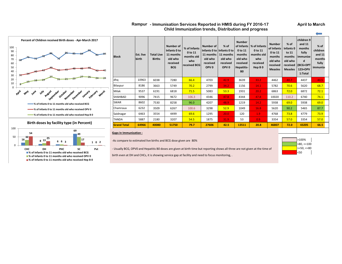#### **Rampur** - Immunisation Services Reported in HMIS during FY 2016-17 **April to March Child Immunization trends, Distribution and progress**



| <b>Block</b>       | <b>Est. live</b><br>birth | <b>Total Live</b><br><b>Births</b> | Number of<br>Infants 0 to<br>11 months<br>old who<br>received<br><b>BCG</b> | % of Infants<br>0 to 11<br>months old<br>who<br>received BCG | Number of<br>Infants 0 to linfants 0 to<br>11 months<br>old who<br>received<br>OPV <sub>0</sub> | % of<br>11 months<br>old who<br>received<br>OPV <sub>0</sub> | <b>Number</b><br>of Infants<br>0 to 11<br>months<br>old who<br>received<br>Hepatitis-<br>B <sub>0</sub> | % of Infants<br>0 to 11<br>months old<br>who<br>received<br>Hep B <sub>0</sub> | <b>Number</b><br>of Infants<br>0 to 11<br>months<br>old who<br>received<br><b>Measles</b> | $%$ of<br>Infants 0<br>to 11<br>months<br>old who<br>received  <br><b>Measles</b> | children 9<br>and 11<br>months<br>fully<br>immunize<br>d<br>(BCG+DPT)<br>123+OPV<br>1:Total | % of<br>children<br>and 11<br>months<br>fully<br>immunize |  |
|--------------------|---------------------------|------------------------------------|-----------------------------------------------------------------------------|--------------------------------------------------------------|-------------------------------------------------------------------------------------------------|--------------------------------------------------------------|---------------------------------------------------------------------------------------------------------|--------------------------------------------------------------------------------|-------------------------------------------------------------------------------------------|-----------------------------------------------------------------------------------|---------------------------------------------------------------------------------------------|-----------------------------------------------------------|--|
| dhq                | 10963                     | 6038                               | 7280                                                                        | 66.4                                                         | 4703                                                                                            | 42.9                                                         | 3639                                                                                                    | 33.2                                                                           | 4462                                                                                      | 40.7                                                                              | 4437                                                                                        | 40.5                                                      |  |
| Bilaspur           | 8186                      | 3663                               | 5749                                                                        | 70.2                                                         | 2799                                                                                            | 34.2                                                         | 1156                                                                                                    | 14.1                                                                           | 5782                                                                                      | 70.6                                                                              | 5620                                                                                        | 68.7                                                      |  |
| Milak              | 9537                      | 6191                               | 6818                                                                        | 71.5                                                         | 5083                                                                                            | 53.3                                                         | 1931                                                                                                    | 20.2                                                                           | 6863                                                                                      | 72.0                                                                              | 6872                                                                                        | 72.1                                                      |  |
| SHAHBAD            | 9096                      | 7415                               | 9672                                                                        | 106.3                                                        | 4346                                                                                            | 47.8                                                         | 4344                                                                                                    | 47.8                                                                           | 10020                                                                                     | 110.2                                                                             | 6740                                                                                        | 74.1                                                      |  |
| SWAR               | 8602                      | 7530                               | 8258                                                                        | 96.0                                                         | 4207                                                                                            | 48.9                                                         | 1219                                                                                                    | 14.2                                                                           | 5938                                                                                      | 69.0                                                                              | 5938                                                                                        | 69.0                                                      |  |
| Chamraua           | 6232                      | 3509                               | 6267                                                                        | 100.6                                                        | 3298                                                                                            | 52.9                                                         | 1049                                                                                                    | 16.8                                                                           | 5620                                                                                      | 90.2                                                                              | 5465                                                                                        | 87.7                                                      |  |
| Saidnagar          | 6463                      | 3554                               | 4499                                                                        | 69.6                                                         | 1295                                                                                            | 20.0                                                         | 120                                                                                                     | 1.9 <sub>z</sub>                                                               | 4768                                                                                      | 73.8                                                                              | 4779                                                                                        | 73.9                                                      |  |
| TANDA              | 5887                      | 2180                               | 3207                                                                        | 54.5                                                         | 1875                                                                                            | 31.9                                                         | 53                                                                                                      | 0.9 <sub>1</sub>                                                               | 3354                                                                                      | 57.0                                                                              | 3354                                                                                        | 57.0                                                      |  |
| <b>Grand Total</b> | 64966                     | 40080                              | 51750                                                                       | 79.7                                                         | 27606                                                                                           | 42.5                                                         | 13511                                                                                                   | 20.8                                                                           | 46807                                                                                     | 72.0                                                                              | 43205                                                                                       | 66.5                                                      |  |
|                    |                           |                                    |                                                                             |                                                              |                                                                                                 |                                                              |                                                                                                         |                                                                                |                                                                                           |                                                                                   |                                                                                             |                                                           |  |

#### **Gaps in Immunization :**

-As compare to estimated live births and BCG dose given are 80%

- Usually BCG, OPV0 and Hepatitis B0 doses are given at birth time but reporting shows all three are not given at the time of

birth even at DH and CHCs, it is showing service gap at facility and need to focus monitoring, .

>100% >80, <=100 >=50, <=80 <50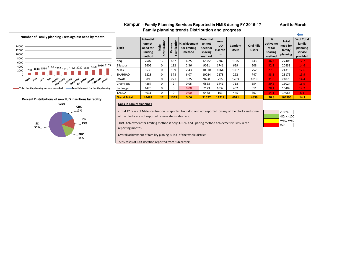#### Rampur - Family Planning Services Reported in HMIS during FY 2016-17 **April to March Family planning trends Distribution and progress**

>100%  $>80, \leq 100$ >=50, <=80 <50



#### **Gaps in Family planning :**

-Total 12 cases of Male sterilization is reported from dhq and not reported by any of the blocks and some of the blocks are not reported female sterilization also.

-Dist. Achievment for limiting method is only 3.06% and Spacing method achievment is 31% in the reporting months.

Overall achievment of famility planing is 14% of the whole district.

-55% cases of IUD insertion reported from Sub centers.

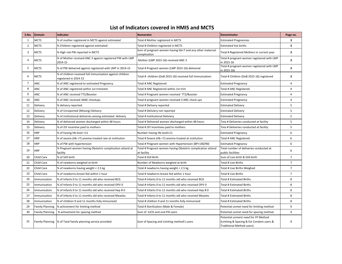### **List of Indicators covered in HMIS and MCTS**

| S.No.          | Domain                 | Indicator                                                                          | <b>Numerator</b>                                                           | <b>Denominator</b>                                                                                           | Page no.                |
|----------------|------------------------|------------------------------------------------------------------------------------|----------------------------------------------------------------------------|--------------------------------------------------------------------------------------------------------------|-------------------------|
| 1              | <b>MCTS</b>            | % of mother registered in MCTS against estimated                                   | Total # Mother registered in MCTS                                          | <b>Estimated Pregnancies</b>                                                                                 | 3                       |
| $\overline{2}$ | <b>MCTS</b>            | % Children registered against estimated                                            | Total # Children registered in MCTS                                        | <b>Estimated live births</b>                                                                                 | 3                       |
| 3              | <b>MCTS</b>            | % High risk PW reported in MCTS                                                    | Sum of pregnant women having hb<7 and any other maternal<br>complication   | Total # Registered Mothers in current year                                                                   | $\overline{\mathbf{3}}$ |
| 4              | <b>MCTS</b>            | % of Mother received ANC 3 against registered PW with LMP<br>2014-15               | Mother (LMP 2015-16) received ANC 3                                        | Total # pregnant women registered with LMP<br>in 2015-16                                                     | 3                       |
| 5              | <b>MCTS</b>            | % of PW delivered against registered with LMP in 2014-15                           | Total # Pregnant women (LMP 2015-16) delivered                             | Total # pregnant women registered with LMP<br>in 2015-16)                                                    | 3                       |
| 6              | <b>MCTS</b>            | % of children received full immunization against children<br>registered in 2014-15 | Total # children (DoB 2015-16) received full immunization                  | Total # Children (DoB 2015-16) registered                                                                    | 3                       |
| $\overline{7}$ | ANC                    | % of ANC registered to estimated Pregnancy                                         | Total # ANC Registered                                                     | <b>Estimated Pregnancy</b>                                                                                   | 4                       |
| 8              | <b>ANC</b>             | % of ANC registered within 1st trimester                                           | Total # ANC Registered within 1st trim                                     | Total # ANC Registered                                                                                       | 4                       |
| 9              | ANC                    | % of ANC received TT2/Booster                                                      | Total # Pregnant women received TT2/Booster                                | <b>Estimated Pregnancy</b>                                                                                   | 4                       |
| 10             | ANC                    | % of ANC received 3ANC checkups                                                    | Total # pregnant women received 3 ANC check ups                            | <b>Estimated Pregnancy</b>                                                                                   | $\overline{4}$          |
| 11             | Delivery               | % delivery reported                                                                | Total # Delivery reported                                                  | <b>Estimated Delivery</b>                                                                                    | 5                       |
| 12             | Delivery               | % of Unreported (Missing) Delivery                                                 | Total # Deliviery not reported                                             | <b>Estimated Delivery</b>                                                                                    | 5                       |
| 13             | Delivery               | % of institutional deliveries among estimated delivery                             | Total # Institutional Deliviery                                            | <b>Estimated Delivery</b>                                                                                    | 5                       |
| 14             | Delivery               | % of delivered women discharged within 48 hours                                    | Total # Delivered women discharged within 48 hours                         | Tota # Deliveries conducted at facility                                                                      | 5                       |
| 15             | Delivery               | % of JSY incentive paid to mothers                                                 | Total # JSY Incentives paid to mothers                                     | Tota # Deliveries conducted at facility                                                                      | 5                       |
| 16             | <b>HRP</b>             | % of having Hb level <11                                                           | Number having Hb level<11                                                  | <b>Estimated Pregnancy</b>                                                                                   | 6                       |
| 17             | <b>HRP</b>             | % of severe (Hb <7) anemia treated rate at institution                             | Total # Severe (Hb <7) anemia treated at institution                       | Total # ANC Registered                                                                                       | 6                       |
| 18             | <b>HRP</b>             | % of PW with hypertension                                                          | Total # Pregnant women with Hypertension (BP>140/90)                       | <b>Estimated Pregnancy</b>                                                                                   | 6                       |
| 19             | <b>HRP</b>             | % Pregnant women having Obstetric complication attend at<br>facility               | Total # Pregnant women having Obstetric complication attend<br>at facility | Total number of deliveries conducted at<br>public facilities                                                 | 6                       |
| 20             | Child Care             | % of Still birth                                                                   | Total # Still Birth                                                        | Sum of Live birth & Still birth                                                                              | $\overline{7}$          |
| 21             | <b>Child Care</b>      | % of newborns weighed at birth                                                     | Number of Newborns weighed at birth                                        | Total # Live Births                                                                                          | $\overline{7}$          |
| 22             | Child Care             | % of newborns having weight < 2.5 kg                                               | Total # newborns having weight < 2.5 kg                                    | Total # Live Births Weighed                                                                                  | $\overline{7}$          |
| 23             | Child Care             | % of newborns breast fed within 1 hour                                             | Total # newborns breast fed within 1 hour                                  | Total # Live Births                                                                                          | $\overline{7}$          |
| 24             | Immunization           | % of Infants 0 to 11 months old who received BCG                                   | Total # Infants 0 to 11 months old who received BCG                        | Total # Estimated Births                                                                                     | 8                       |
| 25             | Immunization           | % of Infants 0 to 11 months old who received OPV 0                                 | Total # Infants 0 to 11 months old who received OPV 0                      | Total # Estimated Births                                                                                     | 8                       |
| 26             | Immunization           | % of Infants 0 to 11 months old who received Hep B 0                               | Total # Infants 0 to 11 months old who received Hep B 0                    | Total # Estimated Births                                                                                     | 8                       |
| 27             | Immunization           | % of Infants 0 to 11 months old who received Measles                               | Total # Infants 0 to 11 months old who received Measles                    | Total # Estimated Births                                                                                     | 8                       |
| 28             | Immunization           | % of children 9 and 11 months fully immunized                                      | Total # children 9 and 11 months fully immunized                           | <b>Total # Estimated Births</b>                                                                              | 8                       |
| 29             | <b>Family Planning</b> | % achivement for limiting method                                                   | Total # Sterilization (Male & Female)                                      | Potential unmet need for limiting method                                                                     | 9                       |
| 30             | <b>Family Planning</b> | % achivement for spacing method                                                    | Sum of IUCD and oral Pill users                                            | Potential unmet need for spacing method                                                                      | 9                       |
| 31             |                        | Family Planning  % of Total family planning service provided                       | Sum of Spacing and Limiting method's users                                 | Potential unment need for FP Method<br>(Limiting & Spacing & Est Condom users &<br>Traditional Method users) | 9                       |